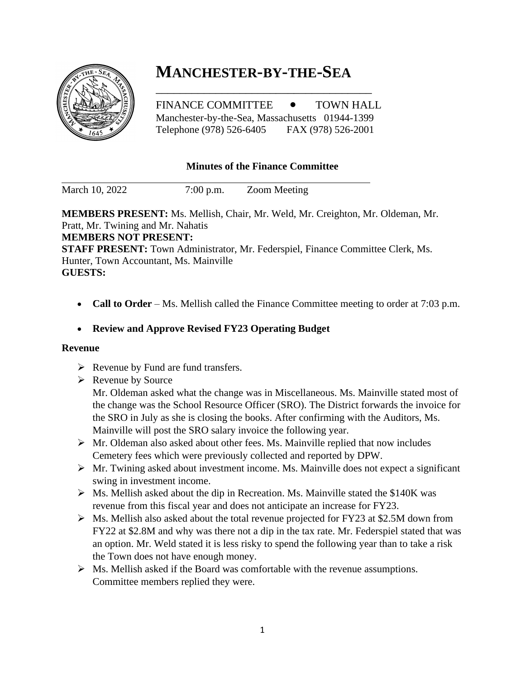

# **MANCHESTER-BY-THE-SEA**

FINANCE COMMITTEE  $\bullet$  TOWN HALL Manchester-by-the-Sea, Massachusetts 01944-1399 Telephone (978) 526-6405 FAX (978) 526-2001

\_\_\_\_\_\_\_\_\_\_\_\_\_\_\_\_\_\_\_\_\_\_\_\_\_\_\_\_\_\_\_\_\_\_\_\_

## **Minutes of the Finance Committee**

March 10, 2022 7:00 p.m. Zoom Meeting

**MEMBERS PRESENT:** Ms. Mellish, Chair, Mr. Weld, Mr. Creighton, Mr. Oldeman, Mr. Pratt, Mr. Twining and Mr. Nahatis **MEMBERS NOT PRESENT:**

**STAFF PRESENT:** Town Administrator, Mr. Federspiel, Finance Committee Clerk, Ms. Hunter, Town Accountant, Ms. Mainville **GUESTS:** 

• **Call to Order** – Ms. Mellish called the Finance Committee meeting to order at 7:03 p.m.

## • **Review and Approve Revised FY23 Operating Budget**

## **Revenue**

- ➢ Revenue by Fund are fund transfers.
- ➢ Revenue by Source

Mr. Oldeman asked what the change was in Miscellaneous. Ms. Mainville stated most of the change was the School Resource Officer (SRO). The District forwards the invoice for the SRO in July as she is closing the books. After confirming with the Auditors, Ms. Mainville will post the SRO salary invoice the following year.

- ➢ Mr. Oldeman also asked about other fees. Ms. Mainville replied that now includes Cemetery fees which were previously collected and reported by DPW.
- ➢ Mr. Twining asked about investment income. Ms. Mainville does not expect a significant swing in investment income.
- $\triangleright$  Ms. Mellish asked about the dip in Recreation. Ms. Mainville stated the \$140K was revenue from this fiscal year and does not anticipate an increase for FY23.
- ➢ Ms. Mellish also asked about the total revenue projected for FY23 at \$2.5M down from FY22 at \$2.8M and why was there not a dip in the tax rate. Mr. Federspiel stated that was an option. Mr. Weld stated it is less risky to spend the following year than to take a risk the Town does not have enough money.
- ➢ Ms. Mellish asked if the Board was comfortable with the revenue assumptions. Committee members replied they were.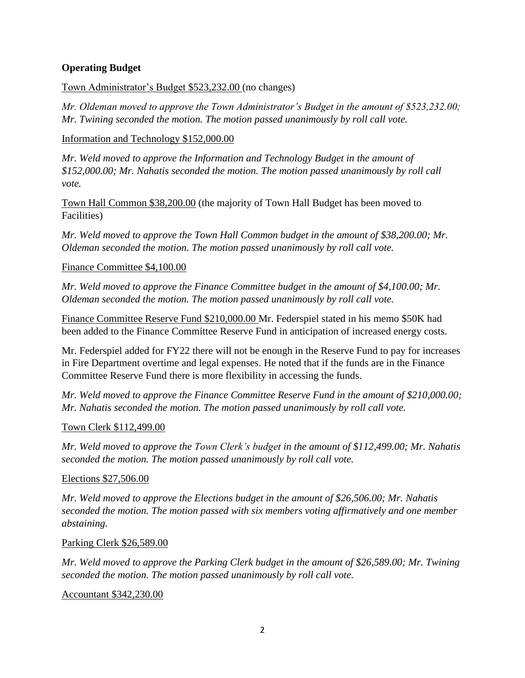## **Operating Budget**

Town Administrator's Budget \$523,232.00 (no changes)

*Mr. Oldeman moved to approve the Town Administrator's Budget in the amount of \$523,232.00; Mr. Twining seconded the motion. The motion passed unanimously by roll call vote.*

Information and Technology \$152,000.00

*Mr. Weld moved to approve the Information and Technology Budget in the amount of \$152,000.00; Mr. Nahatis seconded the motion. The motion passed unanimously by roll call vote.*

Town Hall Common \$38,200.00 (the majority of Town Hall Budget has been moved to Facilities)

*Mr. Weld moved to approve the Town Hall Common budget in the amount of \$38,200.00; Mr. Oldeman seconded the motion. The motion passed unanimously by roll call vote.*

## Finance Committee \$4,100.00

*Mr. Weld moved to approve the Finance Committee budget in the amount of \$4,100.00; Mr. Oldeman seconded the motion. The motion passed unanimously by roll call vote.*

Finance Committee Reserve Fund \$210,000.00 Mr. Federspiel stated in his memo \$50K had been added to the Finance Committee Reserve Fund in anticipation of increased energy costs.

Mr. Federspiel added for FY22 there will not be enough in the Reserve Fund to pay for increases in Fire Department overtime and legal expenses. He noted that if the funds are in the Finance Committee Reserve Fund there is more flexibility in accessing the funds.

*Mr. Weld moved to approve the Finance Committee Reserve Fund in the amount of \$210,000.00; Mr. Nahatis seconded the motion. The motion passed unanimously by roll call vote.*

Town Clerk \$112,499.00

*Mr. Weld moved to approve the Town Clerk's budget in the amount of \$112,499.00; Mr. Nahatis seconded the motion. The motion passed unanimously by roll call vote.*

Elections \$27,506.00

*Mr. Weld moved to approve the Elections budget in the amount of \$26,506.00; Mr. Nahatis seconded the motion. The motion passed with six members voting affirmatively and one member abstaining.*

## Parking Clerk \$26,589.00

*Mr. Weld moved to approve the Parking Clerk budget in the amount of \$26,589.00; Mr. Twining seconded the motion. The motion passed unanimously by roll call vote.*

Accountant \$342,230.00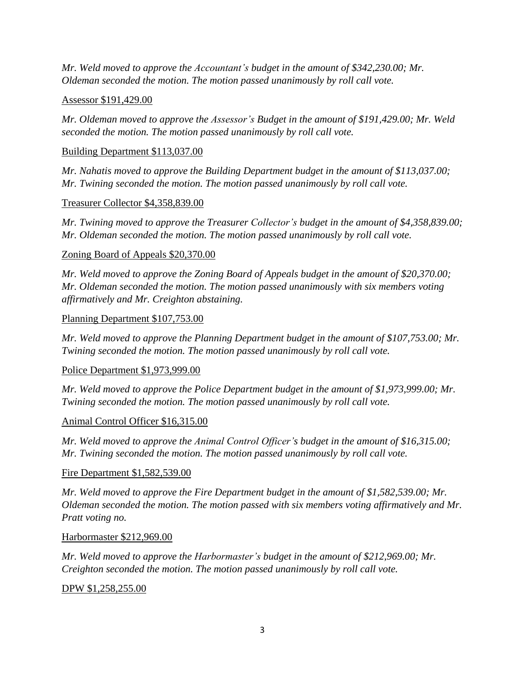*Mr. Weld moved to approve the Accountant's budget in the amount of \$342,230.00; Mr. Oldeman seconded the motion. The motion passed unanimously by roll call vote.*

## Assessor \$191,429.00

*Mr. Oldeman moved to approve the Assessor's Budget in the amount of \$191,429.00; Mr. Weld seconded the motion. The motion passed unanimously by roll call vote.*

## Building Department \$113,037.00

*Mr. Nahatis moved to approve the Building Department budget in the amount of \$113,037.00; Mr. Twining seconded the motion. The motion passed unanimously by roll call vote.*

## Treasurer Collector \$4,358,839.00

*Mr. Twining moved to approve the Treasurer Collector's budget in the amount of \$4,358,839.00; Mr. Oldeman seconded the motion. The motion passed unanimously by roll call vote.*

## Zoning Board of Appeals \$20,370.00

*Mr. Weld moved to approve the Zoning Board of Appeals budget in the amount of \$20,370.00; Mr. Oldeman seconded the motion. The motion passed unanimously with six members voting affirmatively and Mr. Creighton abstaining.* 

## Planning Department \$107,753.00

*Mr. Weld moved to approve the Planning Department budget in the amount of \$107,753.00; Mr. Twining seconded the motion. The motion passed unanimously by roll call vote.*

## Police Department \$1,973,999.00

*Mr. Weld moved to approve the Police Department budget in the amount of \$1,973,999.00; Mr. Twining seconded the motion. The motion passed unanimously by roll call vote.*

## Animal Control Officer \$16,315.00

*Mr. Weld moved to approve the Animal Control Officer's budget in the amount of \$16,315.00; Mr. Twining seconded the motion. The motion passed unanimously by roll call vote.*

## Fire Department \$1,582,539.00

*Mr. Weld moved to approve the Fire Department budget in the amount of \$1,582,539.00; Mr. Oldeman seconded the motion. The motion passed with six members voting affirmatively and Mr. Pratt voting no.*

## Harbormaster \$212,969.00

*Mr. Weld moved to approve the Harbormaster's budget in the amount of \$212,969.00; Mr. Creighton seconded the motion. The motion passed unanimously by roll call vote.*

## DPW \$1,258,255.00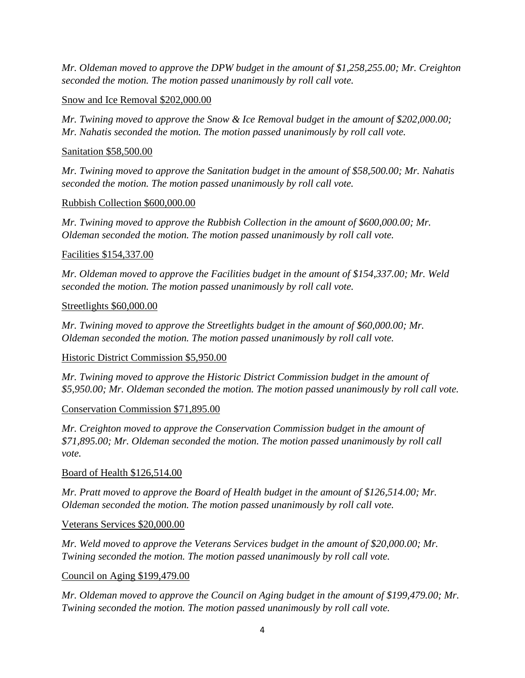*Mr. Oldeman moved to approve the DPW budget in the amount of \$1,258,255.00; Mr. Creighton seconded the motion. The motion passed unanimously by roll call vote.*

## Snow and Ice Removal \$202,000.00

*Mr. Twining moved to approve the Snow & Ice Removal budget in the amount of \$202,000.00; Mr. Nahatis seconded the motion. The motion passed unanimously by roll call vote.*

## Sanitation \$58,500.00

*Mr. Twining moved to approve the Sanitation budget in the amount of \$58,500.00; Mr. Nahatis seconded the motion. The motion passed unanimously by roll call vote.*

## Rubbish Collection \$600,000.00

*Mr. Twining moved to approve the Rubbish Collection in the amount of \$600,000.00; Mr. Oldeman seconded the motion. The motion passed unanimously by roll call vote.*

## Facilities \$154,337.00

*Mr. Oldeman moved to approve the Facilities budget in the amount of \$154,337.00; Mr. Weld seconded the motion. The motion passed unanimously by roll call vote.*

## Streetlights \$60,000.00

*Mr. Twining moved to approve the Streetlights budget in the amount of \$60,000.00; Mr. Oldeman seconded the motion. The motion passed unanimously by roll call vote.*

## Historic District Commission \$5,950.00

*Mr. Twining moved to approve the Historic District Commission budget in the amount of \$5,950.00; Mr. Oldeman seconded the motion. The motion passed unanimously by roll call vote.*

## Conservation Commission \$71,895.00

*Mr. Creighton moved to approve the Conservation Commission budget in the amount of \$71,895.00; Mr. Oldeman seconded the motion. The motion passed unanimously by roll call vote.*

## Board of Health \$126,514.00

*Mr. Pratt moved to approve the Board of Health budget in the amount of \$126,514.00; Mr. Oldeman seconded the motion. The motion passed unanimously by roll call vote.*

## Veterans Services \$20,000.00

*Mr. Weld moved to approve the Veterans Services budget in the amount of \$20,000.00; Mr. Twining seconded the motion. The motion passed unanimously by roll call vote.*

## Council on Aging \$199,479.00

*Mr. Oldeman moved to approve the Council on Aging budget in the amount of \$199,479.00; Mr. Twining seconded the motion. The motion passed unanimously by roll call vote.*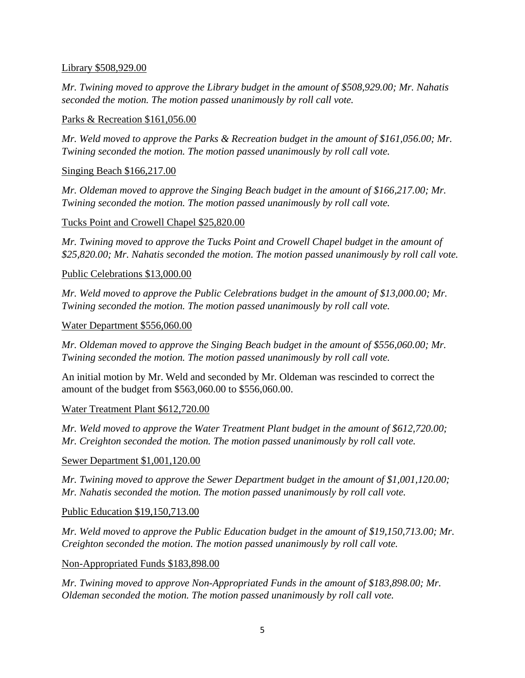## Library \$508,929.00

*Mr. Twining moved to approve the Library budget in the amount of \$508,929.00; Mr. Nahatis seconded the motion. The motion passed unanimously by roll call vote.*

## Parks & Recreation \$161,056.00

*Mr. Weld moved to approve the Parks & Recreation budget in the amount of \$161,056.00; Mr. Twining seconded the motion. The motion passed unanimously by roll call vote.*

## Singing Beach \$166,217.00

*Mr. Oldeman moved to approve the Singing Beach budget in the amount of \$166,217.00; Mr. Twining seconded the motion. The motion passed unanimously by roll call vote.*

## Tucks Point and Crowell Chapel \$25,820.00

*Mr. Twining moved to approve the Tucks Point and Crowell Chapel budget in the amount of \$25,820.00; Mr. Nahatis seconded the motion. The motion passed unanimously by roll call vote.*

## Public Celebrations \$13,000.00

*Mr. Weld moved to approve the Public Celebrations budget in the amount of \$13,000.00; Mr. Twining seconded the motion. The motion passed unanimously by roll call vote.*

## Water Department \$556,060.00

*Mr. Oldeman moved to approve the Singing Beach budget in the amount of \$556,060.00; Mr. Twining seconded the motion. The motion passed unanimously by roll call vote.*

An initial motion by Mr. Weld and seconded by Mr. Oldeman was rescinded to correct the amount of the budget from \$563,060.00 to \$556,060.00.

## Water Treatment Plant \$612,720.00

*Mr. Weld moved to approve the Water Treatment Plant budget in the amount of \$612,720.00; Mr. Creighton seconded the motion. The motion passed unanimously by roll call vote.*

## Sewer Department \$1,001,120.00

*Mr. Twining moved to approve the Sewer Department budget in the amount of \$1,001,120.00; Mr. Nahatis seconded the motion. The motion passed unanimously by roll call vote.*

## Public Education \$19,150,713.00

*Mr. Weld moved to approve the Public Education budget in the amount of \$19,150,713.00; Mr. Creighton seconded the motion. The motion passed unanimously by roll call vote.*

## Non-Appropriated Funds \$183,898.00

*Mr. Twining moved to approve Non-Appropriated Funds in the amount of \$183,898.00; Mr. Oldeman seconded the motion. The motion passed unanimously by roll call vote.*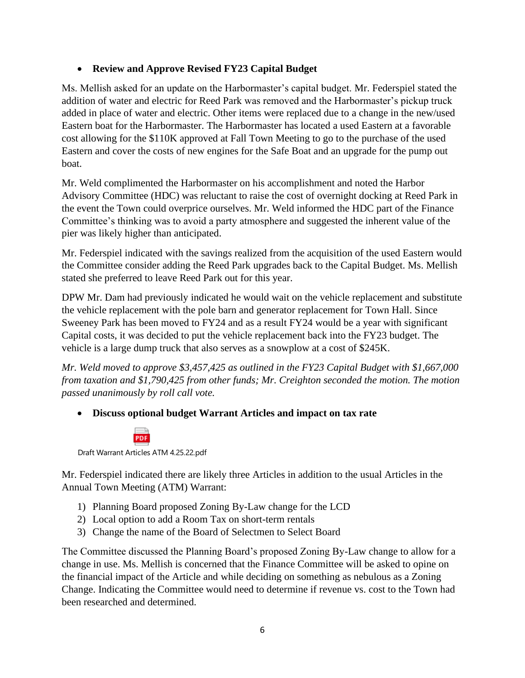## • **Review and Approve Revised FY23 Capital Budget**

Ms. Mellish asked for an update on the Harbormaster's capital budget. Mr. Federspiel stated the addition of water and electric for Reed Park was removed and the Harbormaster's pickup truck added in place of water and electric. Other items were replaced due to a change in the new/used Eastern boat for the Harbormaster. The Harbormaster has located a used Eastern at a favorable cost allowing for the \$110K approved at Fall Town Meeting to go to the purchase of the used Eastern and cover the costs of new engines for the Safe Boat and an upgrade for the pump out boat.

Mr. Weld complimented the Harbormaster on his accomplishment and noted the Harbor Advisory Committee (HDC) was reluctant to raise the cost of overnight docking at Reed Park in the event the Town could overprice ourselves. Mr. Weld informed the HDC part of the Finance Committee's thinking was to avoid a party atmosphere and suggested the inherent value of the pier was likely higher than anticipated.

Mr. Federspiel indicated with the savings realized from the acquisition of the used Eastern would the Committee consider adding the Reed Park upgrades back to the Capital Budget. Ms. Mellish stated she preferred to leave Reed Park out for this year.

DPW Mr. Dam had previously indicated he would wait on the vehicle replacement and substitute the vehicle replacement with the pole barn and generator replacement for Town Hall. Since Sweeney Park has been moved to FY24 and as a result FY24 would be a year with significant Capital costs, it was decided to put the vehicle replacement back into the FY23 budget. The vehicle is a large dump truck that also serves as a snowplow at a cost of \$245K.

*Mr. Weld moved to approve \$3,457,425 as outlined in the FY23 Capital Budget with \$1,667,000 from taxation and \$1,790,425 from other funds; Mr. Creighton seconded the motion. The motion passed unanimously by roll call vote.*

## • **Discuss optional budget Warrant Articles and impact on tax rate**



Draft Warrant Articles ATM 4.25.22.pdf

Mr. Federspiel indicated there are likely three Articles in addition to the usual Articles in the Annual Town Meeting (ATM) Warrant:

- 1) Planning Board proposed Zoning By-Law change for the LCD
- 2) Local option to add a Room Tax on short-term rentals
- 3) Change the name of the Board of Selectmen to Select Board

The Committee discussed the Planning Board's proposed Zoning By-Law change to allow for a change in use. Ms. Mellish is concerned that the Finance Committee will be asked to opine on the financial impact of the Article and while deciding on something as nebulous as a Zoning Change. Indicating the Committee would need to determine if revenue vs. cost to the Town had been researched and determined.